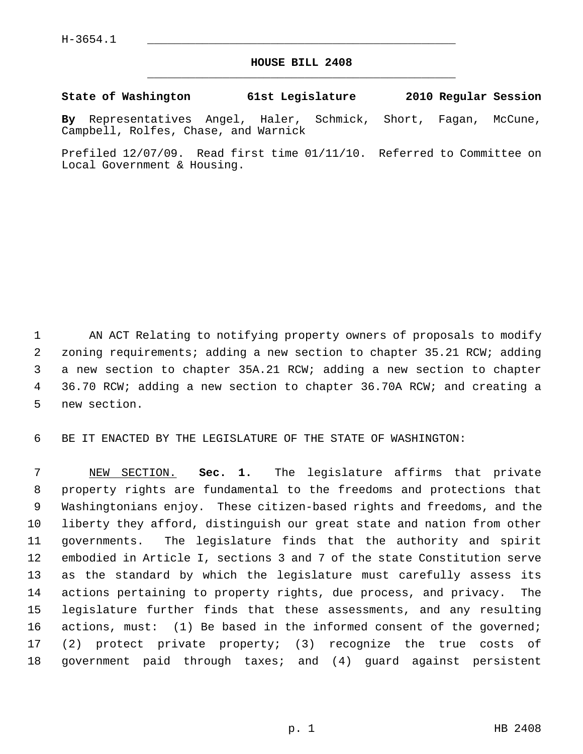## **HOUSE BILL 2408** \_\_\_\_\_\_\_\_\_\_\_\_\_\_\_\_\_\_\_\_\_\_\_\_\_\_\_\_\_\_\_\_\_\_\_\_\_\_\_\_\_\_\_\_\_

**State of Washington 61st Legislature 2010 Regular Session**

**By** Representatives Angel, Haler, Schmick, Short, Fagan, McCune, Campbell, Rolfes, Chase, and Warnick

Prefiled 12/07/09. Read first time 01/11/10. Referred to Committee on Local Government & Housing.

 1 AN ACT Relating to notifying property owners of proposals to modify 2 zoning requirements; adding a new section to chapter 35.21 RCW; adding 3 a new section to chapter 35A.21 RCW; adding a new section to chapter 4 36.70 RCW; adding a new section to chapter 36.70A RCW; and creating a 5 new section.

6 BE IT ENACTED BY THE LEGISLATURE OF THE STATE OF WASHINGTON:

 7 NEW SECTION. **Sec. 1.** The legislature affirms that private 8 property rights are fundamental to the freedoms and protections that 9 Washingtonians enjoy. These citizen-based rights and freedoms, and the 10 liberty they afford, distinguish our great state and nation from other 11 governments. The legislature finds that the authority and spirit 12 embodied in Article I, sections 3 and 7 of the state Constitution serve 13 as the standard by which the legislature must carefully assess its 14 actions pertaining to property rights, due process, and privacy. The 15 legislature further finds that these assessments, and any resulting 16 actions, must: (1) Be based in the informed consent of the governed; 17 (2) protect private property; (3) recognize the true costs of 18 government paid through taxes; and (4) guard against persistent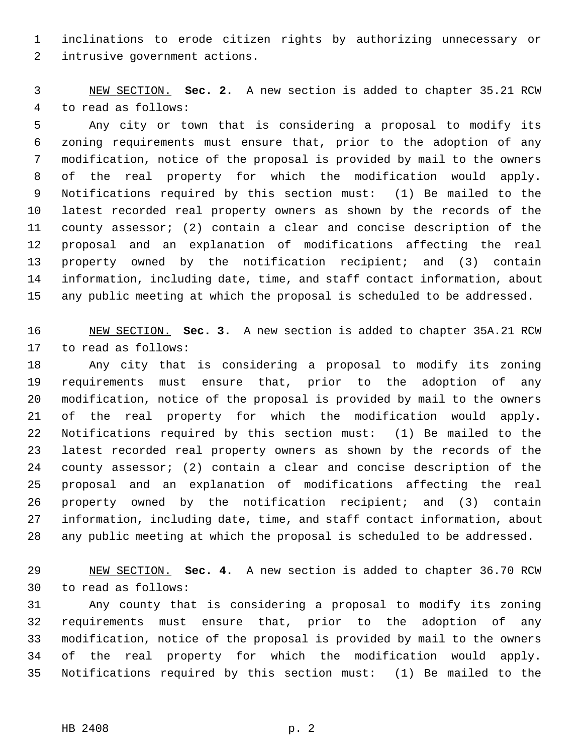1 inclinations to erode citizen rights by authorizing unnecessary or 2 intrusive government actions.

 3 NEW SECTION. **Sec. 2.** A new section is added to chapter 35.21 RCW 4 to read as follows:

 5 Any city or town that is considering a proposal to modify its 6 zoning requirements must ensure that, prior to the adoption of any 7 modification, notice of the proposal is provided by mail to the owners 8 of the real property for which the modification would apply. 9 Notifications required by this section must: (1) Be mailed to the 10 latest recorded real property owners as shown by the records of the 11 county assessor; (2) contain a clear and concise description of the 12 proposal and an explanation of modifications affecting the real 13 property owned by the notification recipient; and (3) contain 14 information, including date, time, and staff contact information, about 15 any public meeting at which the proposal is scheduled to be addressed.

16 NEW SECTION. **Sec. 3.** A new section is added to chapter 35A.21 RCW 17 to read as follows:

18 Any city that is considering a proposal to modify its zoning 19 requirements must ensure that, prior to the adoption of any 20 modification, notice of the proposal is provided by mail to the owners 21 of the real property for which the modification would apply. 22 Notifications required by this section must: (1) Be mailed to the 23 latest recorded real property owners as shown by the records of the 24 county assessor; (2) contain a clear and concise description of the 25 proposal and an explanation of modifications affecting the real 26 property owned by the notification recipient; and (3) contain 27 information, including date, time, and staff contact information, about 28 any public meeting at which the proposal is scheduled to be addressed.

29 NEW SECTION. **Sec. 4.** A new section is added to chapter 36.70 RCW 30 to read as follows:

31 Any county that is considering a proposal to modify its zoning 32 requirements must ensure that, prior to the adoption of any 33 modification, notice of the proposal is provided by mail to the owners 34 of the real property for which the modification would apply. 35 Notifications required by this section must: (1) Be mailed to the